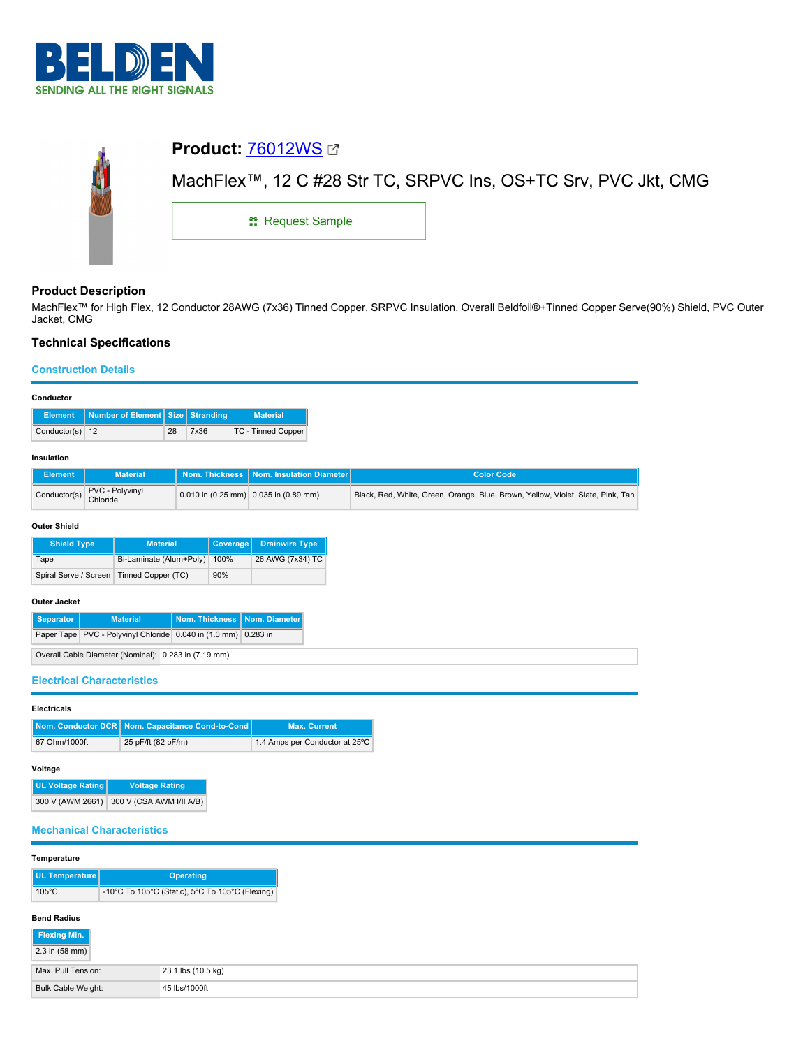

|  | <b>Product: 76012WS Ø</b>                                      |  |  |  |  |  |
|--|----------------------------------------------------------------|--|--|--|--|--|
|  | MachFlex™, 12 C #28 Str TC, SRPVC Ins, OS+TC Srv, PVC Jkt, CMG |  |  |  |  |  |
|  | <sub>11</sub> Request Sample                                   |  |  |  |  |  |
|  |                                                                |  |  |  |  |  |

## **Product Description**

MachFlex™ for High Flex, 12 Conductor 28AWG (7x36) Tinned Copper, SRPVC Insulation, Overall Beldfoil®+Tinned Copper Serve(90%) Shield, PVC Outer Jacket, CMG

## **Technical Specifications**

### **Construction Details**

| Conductor                                                    |                                                                |                                                                                          |                 |                                |                     |                                                                                 |  |  |
|--------------------------------------------------------------|----------------------------------------------------------------|------------------------------------------------------------------------------------------|-----------------|--------------------------------|---------------------|---------------------------------------------------------------------------------|--|--|
| <b>Element</b>                                               | Number of Element   Size<br><b>Stranding</b>                   |                                                                                          | <b>Material</b> |                                |                     |                                                                                 |  |  |
| Conductor(s) 12                                              |                                                                |                                                                                          | 28              | 7x36                           |                     | TC - Tinned Copper                                                              |  |  |
| Insulation                                                   |                                                                |                                                                                          |                 |                                |                     |                                                                                 |  |  |
| <b>Element</b>                                               | <b>Nom. Thickness</b><br><b>Material</b>                       |                                                                                          |                 | Nom. Insulation Diameter       |                     | <b>Color Code</b>                                                               |  |  |
| Conductor(s)                                                 |                                                                | PVC - Polyvinyl<br>0.010 in $(0.25 \text{ mm})$ 0.035 in $(0.89 \text{ mm})$<br>Chloride |                 |                                |                     | Black, Red, White, Green, Orange, Blue, Brown, Yellow, Violet, Slate, Pink, Tan |  |  |
| <b>Outer Shield</b>                                          |                                                                |                                                                                          |                 |                                |                     |                                                                                 |  |  |
| <b>Shield Type</b>                                           |                                                                | <b>Material</b>                                                                          |                 |                                | Coverage            | <b>Drainwire Type</b>                                                           |  |  |
| Tape                                                         | Bi-Laminate (Alum+Poly)                                        |                                                                                          |                 |                                | 100%                | 26 AWG (7x34) TC                                                                |  |  |
|                                                              | Spiral Serve / Screen   Tinned Copper (TC)                     |                                                                                          |                 |                                | 90%                 |                                                                                 |  |  |
| <b>Outer Jacket</b>                                          |                                                                |                                                                                          |                 |                                |                     |                                                                                 |  |  |
| <b>Material</b><br><b>Nom. Thickness</b><br><b>Separator</b> |                                                                |                                                                                          |                 |                                | Nom. Diameter       |                                                                                 |  |  |
|                                                              | Paper Tape PVC - Polyvinyl Chloride 0.040 in (1.0 mm) 0.283 in |                                                                                          |                 |                                |                     |                                                                                 |  |  |
| Overall Cable Diameter (Nominal): 0.283 in (7.19 mm)         |                                                                |                                                                                          |                 |                                |                     |                                                                                 |  |  |
|                                                              |                                                                |                                                                                          |                 |                                |                     |                                                                                 |  |  |
| <b>Electrical Characteristics</b>                            |                                                                |                                                                                          |                 |                                |                     |                                                                                 |  |  |
| <b>Electricals</b>                                           |                                                                |                                                                                          |                 |                                |                     |                                                                                 |  |  |
|                                                              | Nom. Conductor DCR   Nom. Capacitance Cond-to-Cond             |                                                                                          |                 |                                | <b>Max. Current</b> |                                                                                 |  |  |
|                                                              | 67 Ohm/1000ft<br>25 pF/ft (82 pF/m)                            |                                                                                          |                 | 1.4 Amps per Conductor at 25°C |                     |                                                                                 |  |  |

#### **Voltage**

**UL Voltage Rating Voltage Rating** 300 V (AWM 2661) 300 V (CSA AWM I/II A/B)

## **Mechanical Characteristics**

## **Temperature**

| UL Temperature <sup>"</sup> | <b>Operating</b>                                |  |  |  |  |
|-----------------------------|-------------------------------------------------|--|--|--|--|
| $105^{\circ}$ C             | -10°C To 105°C (Static), 5°C To 105°C (Flexing) |  |  |  |  |

# **Bend Radius**

| Flexing Min.              |                    |
|---------------------------|--------------------|
| $2.3$ in (58 mm)          |                    |
| Max. Pull Tension:        | 23.1 lbs (10.5 kg) |
| <b>Bulk Cable Weight:</b> | 45 lbs/1000ft      |